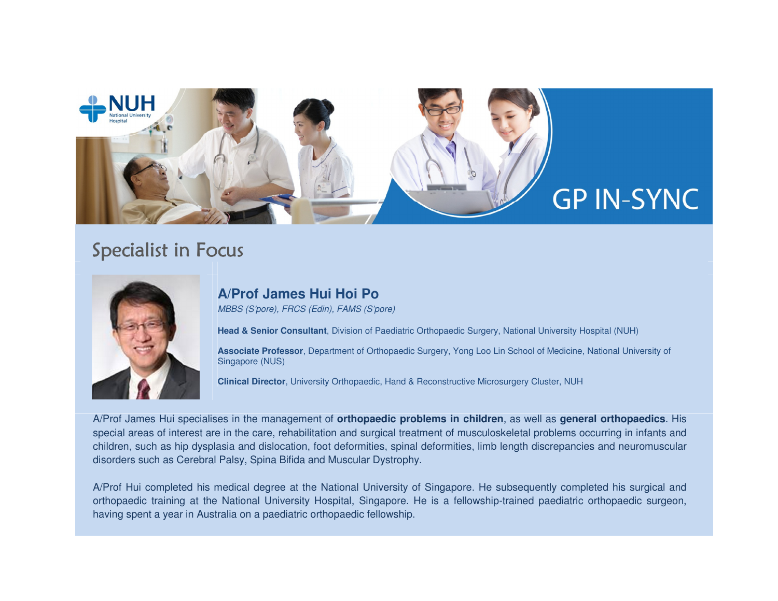

# Specialist in Focus



### **A/Prof James Hui Hoi Po**

MBBS (S'pore), FRCS (Edin), FAMS (S'pore)

**Head & Senior Consultant**, Division of Paediatric Orthopaedic Surgery, National University Hospital (NUH)

**Associate Professor**, Department of Orthopaedic Surgery, Yong Loo Lin School of Medicine, National University of Singapore (NUS)

**Clinical Director**, University Orthopaedic, Hand & Reconstructive Microsurgery Cluster, NUH

A/Prof James Hui specialises in the management of **orthopaedic problems in children**, as well as **general orthopaedics**. His special areas of interest are in the care, rehabilitation and surgical treatment of musculoskeletal problems occurring in infants and children, such as hip dysplasia and dislocation, foot deformities, spinal deformities, limb length discrepancies and neuromuscular disorders such as Cerebral Palsy, Spina Bifida and Muscular Dystrophy.

A/Prof Hui completed his medical degree at the National University of Singapore. He subsequently completed his surgical and orthopaedic training at the National University Hospital, Singapore. He is a fellowship-trained paediatric orthopaedic surgeon, having spent a year in Australia on a paediatric orthopaedic fellowship.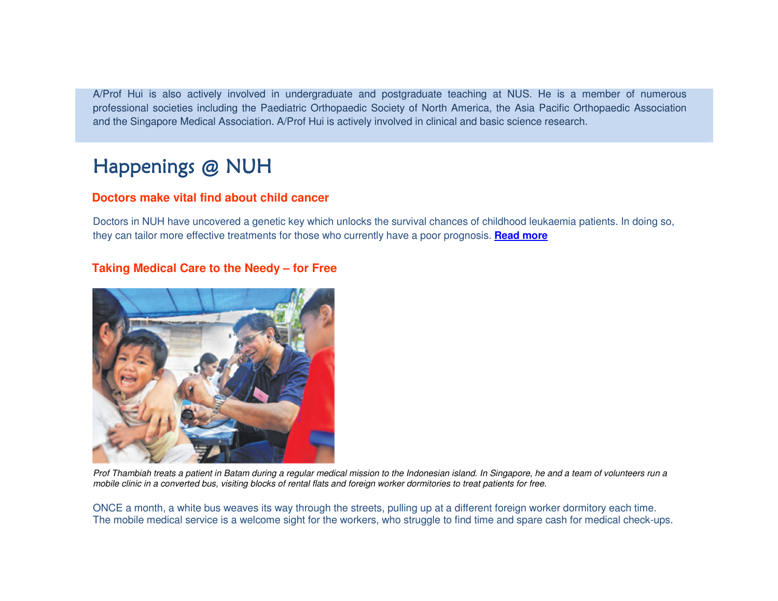A/Prof Hui is also actively involved in undergraduate and postgraduate teaching at NUS. He is a member of numerous professional societies including the Paediatric Orthopaedic Society of North America, the Asia Pacific Orthopaedic Association and the Singapore Medical Association. A/Prof Hui is actively involved in clinical and basic science research.

# Happenings @ NUH

### **Doctors make vital find about child cancer**

Doctors in NUH have uncovered a genetic key which unlocks the survival chances of childhood leukaemia patients. In doing so, they can tailor more effective treatments for those who currently have a poor prognosis. **Read more**

### **Taking Medical Care to the Needy – for Free**



Prof Thambiah treats a patient in Batam during a regular medical mission to the Indonesian island. In Singapore, he and a team of volunteers run a mobile clinic in a converted bus, visiting blocks of rental flats and foreign worker dormitories to treat patients for free.

ONCE a month, a white bus weaves its way through the streets, pulling up at a different foreign worker dormitory each time. The mobile medical service is a welcome sight for the workers, who struggle to find time and spare cash for medical check-ups.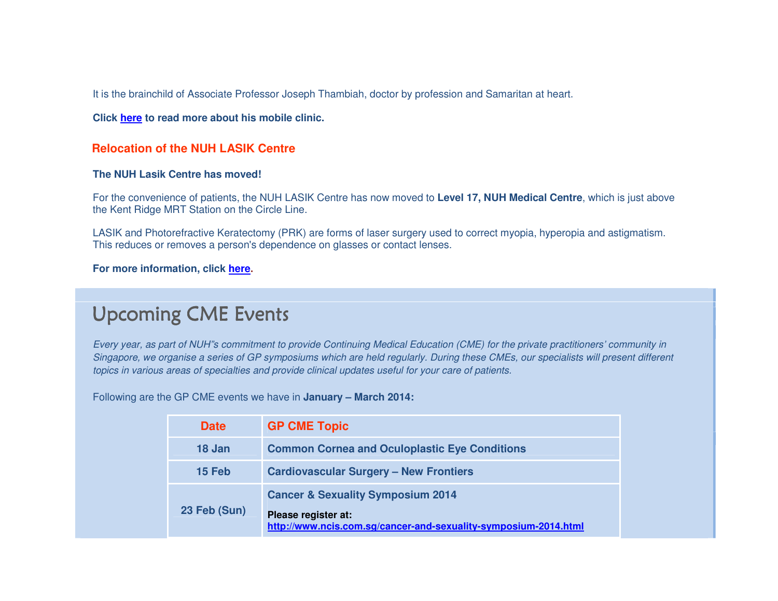It is the brainchild of Associate Professor Joseph Thambiah, doctor by profession and Samaritan at heart.

**Click here to read more about his mobile clinic.**

#### **Relocation of the NUH LASIK Centre**

#### **The NUH Lasik Centre has moved!**

For the convenience of patients, the NUH LASIK Centre has now moved to **Level 17, NUH Medical Centre**, which is just above the Kent Ridge MRT Station on the Circle Line.

LASIK and Photorefractive Keratectomy (PRK) are forms of laser surgery used to correct myopia, hyperopia and astigmatism. This reduces or removes a person's dependence on glasses or contact lenses.

#### **For more information, click here.**

## Upcoming CME Events

Every year, as part of NUH"s commitment to provide Continuing Medical Education (CME) for the private practitioners' community in Singapore, we organise a series of GP symposiums which are held regularly. During these CMEs, our specialists will present different topics in various areas of specialties and provide clinical updates useful for your care of patients.

Following are the GP CME events we have in **January – March 2014:** 

| <b>Date</b>  | <b>GP CME Topic</b>                                                                                                                    |  |  |
|--------------|----------------------------------------------------------------------------------------------------------------------------------------|--|--|
| 18 Jan       | <b>Common Cornea and Oculoplastic Eye Conditions</b>                                                                                   |  |  |
| 15 Feb       | <b>Cardiovascular Surgery - New Frontiers</b>                                                                                          |  |  |
| 23 Feb (Sun) | <b>Cancer &amp; Sexuality Symposium 2014</b><br>Please register at:<br>http://www.ncis.com.sg/cancer-and-sexuality-symposium-2014.html |  |  |